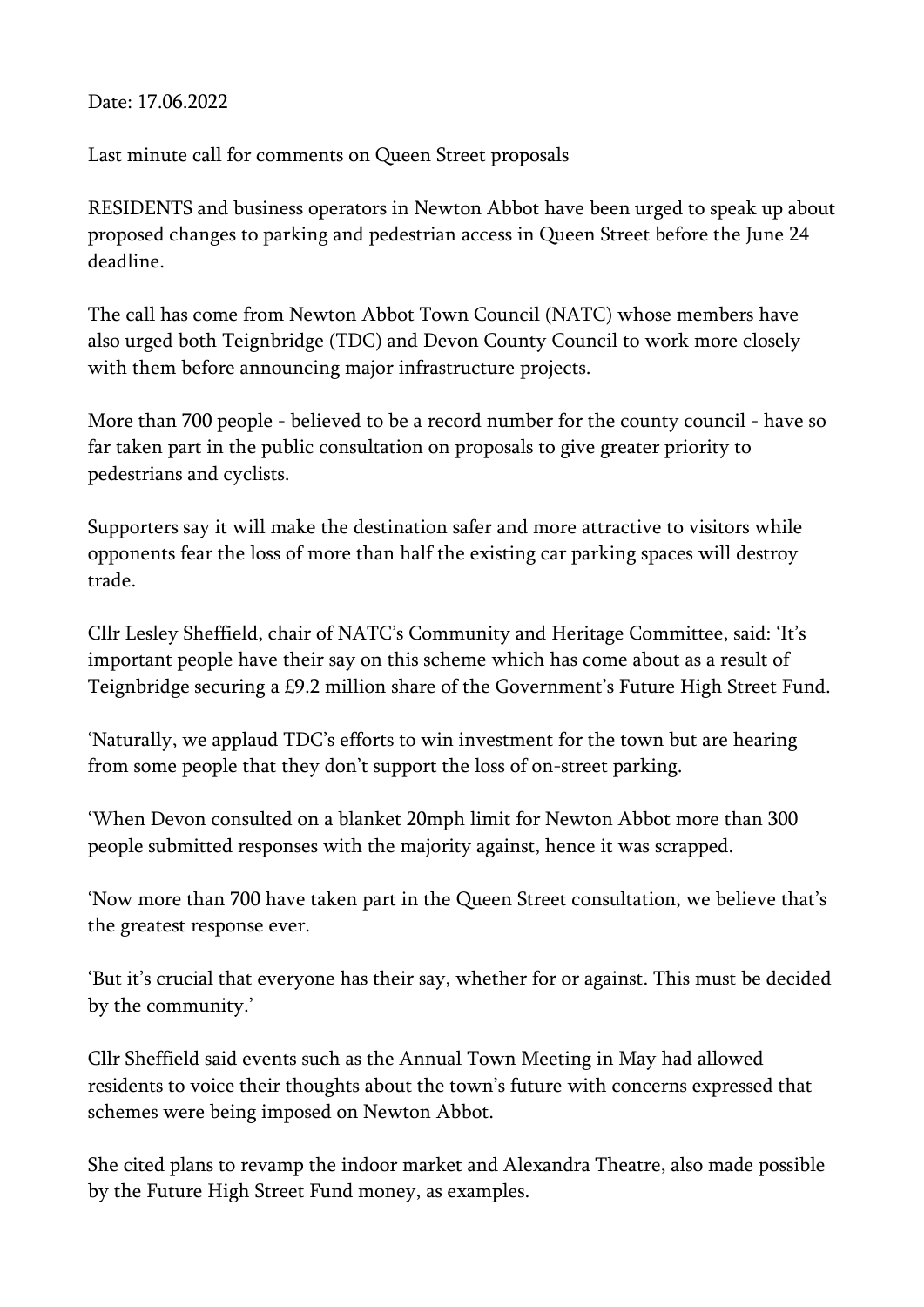Date: 17.06.2022

Last minute call for comments on Queen Street proposals

RESIDENTS and business operators in Newton Abbot have been urged to speak up about proposed changes to parking and pedestrian access in Queen Street before the June 24 deadline.

The call has come from Newton Abbot Town Council (NATC) whose members have also urged both Teignbridge (TDC) and Devon County Council to work more closely with them before announcing major infrastructure projects.

More than 700 people - believed to be a record number for the county council - have so far taken part in the public consultation on proposals to give greater priority to pedestrians and cyclists.

Supporters say it will make the destination safer and more attractive to visitors while opponents fear the loss of more than half the existing car parking spaces will destroy trade.

Cllr Lesley Sheffield, chair of NATC's Community and Heritage Committee, said: 'It's important people have their say on this scheme which has come about as a result of Teignbridge securing a £9.2 million share of the Government's Future High Street Fund.

'Naturally, we applaud TDC's efforts to win investment for the town but are hearing from some people that they don't support the loss of on-street parking.

'When Devon consulted on a blanket 20mph limit for Newton Abbot more than 300 people submitted responses with the majority against, hence it was scrapped.

'Now more than 700 have taken part in the Queen Street consultation, we believe that's the greatest response ever.

'But it's crucial that everyone has their say, whether for or against. This must be decided by the community.'

Cllr Sheffield said events such as the Annual Town Meeting in May had allowed residents to voice their thoughts about the town's future with concerns expressed that schemes were being imposed on Newton Abbot.

She cited plans to revamp the indoor market and Alexandra Theatre, also made possible by the Future High Street Fund money, as examples.